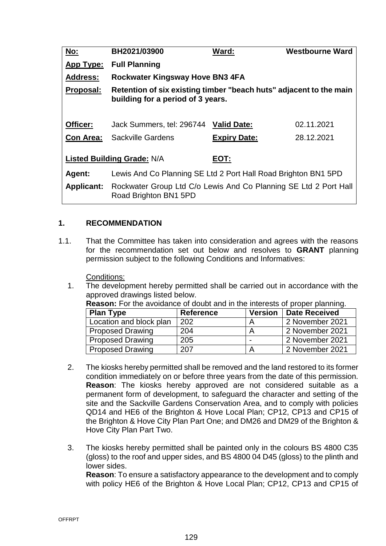| <u>No:</u>                         | BH2021/03900                                                                                            | Ward:               | <b>Westbourne Ward</b> |  |  |  |  |
|------------------------------------|---------------------------------------------------------------------------------------------------------|---------------------|------------------------|--|--|--|--|
| <b>App Type:</b>                   | <b>Full Planning</b>                                                                                    |                     |                        |  |  |  |  |
| <b>Address:</b>                    | Rockwater Kingsway Hove BN3 4FA                                                                         |                     |                        |  |  |  |  |
| Proposal:                          | Retention of six existing timber "beach huts" adjacent to the main<br>building for a period of 3 years. |                     |                        |  |  |  |  |
| Officer:                           | Jack Summers, tel: 296744                                                                               | <b>Valid Date:</b>  | 02.11.2021             |  |  |  |  |
| <b>Con Area:</b>                   | <b>Sackville Gardens</b>                                                                                | <b>Expiry Date:</b> | 28.12.2021             |  |  |  |  |
| Listed Building Grade: N/A<br>EOT: |                                                                                                         |                     |                        |  |  |  |  |
| Agent:                             | Lewis And Co Planning SE Ltd 2 Port Hall Road Brighton BN1 5PD                                          |                     |                        |  |  |  |  |
| <b>Applicant:</b>                  | Rockwater Group Ltd C/o Lewis And Co Planning SE Ltd 2 Port Hall<br>Road Brighton BN1 5PD               |                     |                        |  |  |  |  |

## **1. RECOMMENDATION**

1.1. That the Committee has taken into consideration and agrees with the reasons for the recommendation set out below and resolves to **GRANT** planning permission subject to the following Conditions and Informatives:

Conditions:

1. The development hereby permitted shall be carried out in accordance with the approved drawings listed below.

|  | <b>Reason:</b> For the avoidance of doubt and in the interests of proper planning. |  |  |  |  |
|--|------------------------------------------------------------------------------------|--|--|--|--|
|  |                                                                                    |  |  |  |  |

| <b>Plan Type</b>        | <b>Reference</b> | <b>Version</b> | Date Received   |
|-------------------------|------------------|----------------|-----------------|
| Location and block plan | 202              |                | 2 November 2021 |
| <b>Proposed Drawing</b> | 204              |                | 2 November 2021 |
| <b>Proposed Drawing</b> | 205              | -              | 2 November 2021 |
| <b>Proposed Drawing</b> | 207              |                | 2 November 2021 |

- 2. The kiosks hereby permitted shall be removed and the land restored to its former condition immediately on or before three years from the date of this permission. **Reason**: The kiosks hereby approved are not considered suitable as a permanent form of development, to safeguard the character and setting of the site and the Sackville Gardens Conservation Area, and to comply with policies QD14 and HE6 of the Brighton & Hove Local Plan; CP12, CP13 and CP15 of the Brighton & Hove City Plan Part One; and DM26 and DM29 of the Brighton & Hove City Plan Part Two.
- 3. The kiosks hereby permitted shall be painted only in the colours BS 4800 C35 (gloss) to the roof and upper sides, and BS 4800 04 D45 (gloss) to the plinth and lower sides.

**Reason**: To ensure a satisfactory appearance to the development and to comply with policy HE6 of the Brighton & Hove Local Plan; CP12, CP13 and CP15 of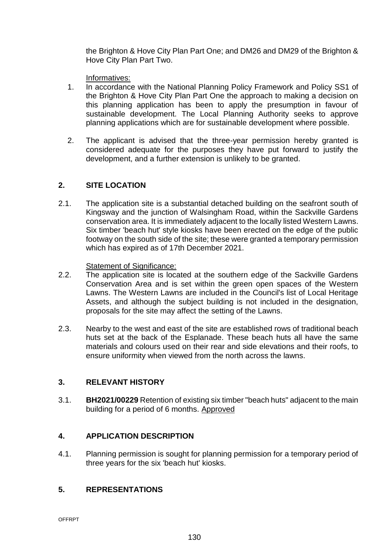the Brighton & Hove City Plan Part One; and DM26 and DM29 of the Brighton & Hove City Plan Part Two.

Informatives:

- 1. In accordance with the National Planning Policy Framework and Policy SS1 of the Brighton & Hove City Plan Part One the approach to making a decision on this planning application has been to apply the presumption in favour of sustainable development. The Local Planning Authority seeks to approve planning applications which are for sustainable development where possible.
- 2. The applicant is advised that the three-year permission hereby granted is considered adequate for the purposes they have put forward to justify the development, and a further extension is unlikely to be granted.

# **2. SITE LOCATION**

2.1. The application site is a substantial detached building on the seafront south of Kingsway and the junction of Walsingham Road, within the Sackville Gardens conservation area. It is immediately adjacent to the locally listed Western Lawns. Six timber 'beach hut' style kiosks have been erected on the edge of the public footway on the south side of the site; these were granted a temporary permission which has expired as of 17th December 2021.

## Statement of Significance:

- 2.2. The application site is located at the southern edge of the Sackville Gardens Conservation Area and is set within the green open spaces of the Western Lawns. The Western Lawns are included in the Council's list of Local Heritage Assets, and although the subject building is not included in the designation, proposals for the site may affect the setting of the Lawns.
- 2.3. Nearby to the west and east of the site are established rows of traditional beach huts set at the back of the Esplanade. These beach huts all have the same materials and colours used on their rear and side elevations and their roofs, to ensure uniformity when viewed from the north across the lawns.

# **3. RELEVANT HISTORY**

3.1. **BH2021/00229** Retention of existing six timber "beach huts" adjacent to the main building for a period of 6 months. Approved

# **4. APPLICATION DESCRIPTION**

4.1. Planning permission is sought for planning permission for a temporary period of three years for the six 'beach hut' kiosks.

# **5. REPRESENTATIONS**

OFFRPT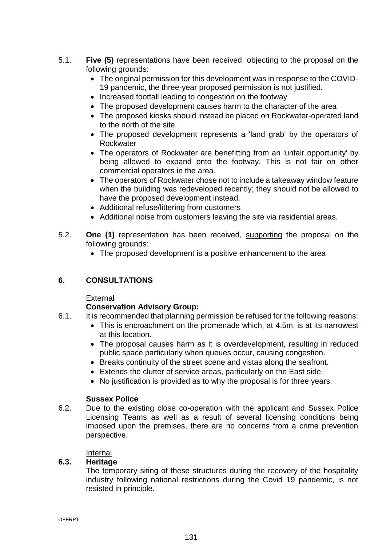- 5.1. **Five (5)** representations have been received, objecting to the proposal on the following grounds:
	- The original permission for this development was in response to the COVID-19 pandemic, the three-year proposed permission is not justified.
	- Increased footfall leading to congestion on the footway
	- The proposed development causes harm to the character of the area
	- The proposed kiosks should instead be placed on Rockwater-operated land to the north of the site.
	- The proposed development represents a 'land grab' by the operators of Rockwater
	- The operators of Rockwater are benefitting from an 'unfair opportunity' by being allowed to expand onto the footway. This is not fair on other commercial operators in the area.
	- The operators of Rockwater chose not to include a takeaway window feature when the building was redeveloped recently; they should not be allowed to have the proposed development instead.
	- Additional refuse/littering from customers
	- Additional noise from customers leaving the site via residential areas.
- 5.2. **One (1)** representation has been received, supporting the proposal on the following grounds:
	- The proposed development is a positive enhancement to the area

# **6. CONSULTATIONS**

## External

## **Conservation Advisory Group:**

- 6.1. It is recommended that planning permission be refused for the following reasons:
	- This is encroachment on the promenade which, at 4.5m, is at its narrowest at this location.
	- The proposal causes harm as it is overdevelopment, resulting in reduced public space particularly when queues occur, causing congestion.
	- Breaks continuity of the street scene and vistas along the seafront.
	- Extends the clutter of service areas, particularly on the East side.
	- No justification is provided as to why the proposal is for three years.

## **Sussex Police**

6.2. Due to the existing close co-operation with the applicant and Sussex Police Licensing Teams as well as a result of several licensing conditions being imposed upon the premises, there are no concerns from a crime prevention perspective.

### Internal

## **6.3. Heritage**

The temporary siting of these structures during the recovery of the hospitality industry following national restrictions during the Covid 19 pandemic, is not resisted in principle.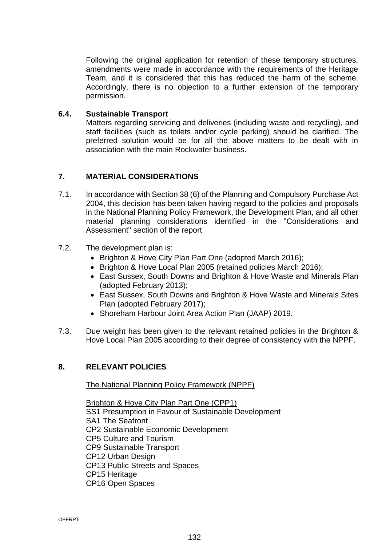Following the original application for retention of these temporary structures, amendments were made in accordance with the requirements of the Heritage Team, and it is considered that this has reduced the harm of the scheme. Accordingly, there is no objection to a further extension of the temporary permission.

#### **6.4. Sustainable Transport**

Matters regarding servicing and deliveries (including waste and recycling), and staff facilities (such as toilets and/or cycle parking) should be clarified. The preferred solution would be for all the above matters to be dealt with in association with the main Rockwater business.

### **7. MATERIAL CONSIDERATIONS**

- 7.1. In accordance with Section 38 (6) of the Planning and Compulsory Purchase Act 2004, this decision has been taken having regard to the policies and proposals in the National Planning Policy Framework, the Development Plan, and all other material planning considerations identified in the "Considerations and Assessment" section of the report
- 7.2. The development plan is:
	- Brighton & Hove City Plan Part One (adopted March 2016);
	- Brighton & Hove Local Plan 2005 (retained policies March 2016);
	- East Sussex, South Downs and Brighton & Hove Waste and Minerals Plan (adopted February 2013);
	- East Sussex, South Downs and Brighton & Hove Waste and Minerals Sites Plan (adopted February 2017);
	- Shoreham Harbour Joint Area Action Plan (JAAP) 2019.
- 7.3. Due weight has been given to the relevant retained policies in the Brighton & Hove Local Plan 2005 according to their degree of consistency with the NPPF.

### **8. RELEVANT POLICIES**

The National Planning Policy Framework (NPPF)

Brighton & Hove City Plan Part One (CPP1) SS1 Presumption in Favour of Sustainable Development SA1 The Seafront CP2 Sustainable Economic Development CP5 Culture and Tourism CP9 Sustainable Transport CP12 Urban Design CP13 Public Streets and Spaces CP15 Heritage CP16 Open Spaces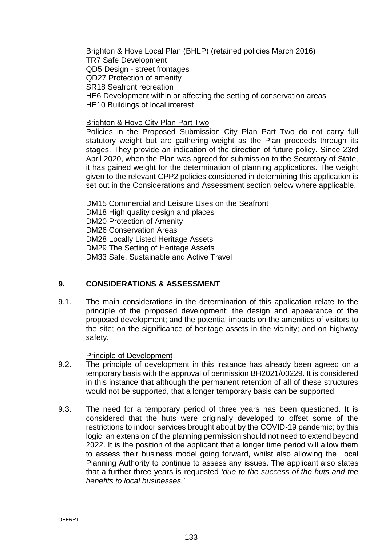Brighton & Hove Local Plan (BHLP) (retained policies March 2016) TR7 Safe Development QD5 Design - street frontages QD27 Protection of amenity SR18 Seafront recreation HE6 Development within or affecting the setting of conservation areas HE10 Buildings of local interest

#### Brighton & Hove City Plan Part Two

Policies in the Proposed Submission City Plan Part Two do not carry full statutory weight but are gathering weight as the Plan proceeds through its stages. They provide an indication of the direction of future policy. Since 23rd April 2020, when the Plan was agreed for submission to the Secretary of State, it has gained weight for the determination of planning applications. The weight given to the relevant CPP2 policies considered in determining this application is set out in the Considerations and Assessment section below where applicable.

DM15 Commercial and Leisure Uses on the Seafront DM18 High quality design and places DM20 Protection of Amenity DM26 Conservation Areas DM28 Locally Listed Heritage Assets DM29 The Setting of Heritage Assets DM33 Safe, Sustainable and Active Travel

## **9. CONSIDERATIONS & ASSESSMENT**

9.1. The main considerations in the determination of this application relate to the principle of the proposed development; the design and appearance of the proposed development; and the potential impacts on the amenities of visitors to the site; on the significance of heritage assets in the vicinity; and on highway safety.

#### Principle of Development

- 9.2. The principle of development in this instance has already been agreed on a temporary basis with the approval of permission BH2021/00229. It is considered in this instance that although the permanent retention of all of these structures would not be supported, that a longer temporary basis can be supported.
- 9.3. The need for a temporary period of three years has been questioned. It is considered that the huts were originally developed to offset some of the restrictions to indoor services brought about by the COVID-19 pandemic; by this logic, an extension of the planning permission should not need to extend beyond 2022. It is the position of the applicant that a longer time period will allow them to assess their business model going forward, whilst also allowing the Local Planning Authority to continue to assess any issues. The applicant also states that a further three years is requested *'due to the success of the huts and the benefits to local businesses.'*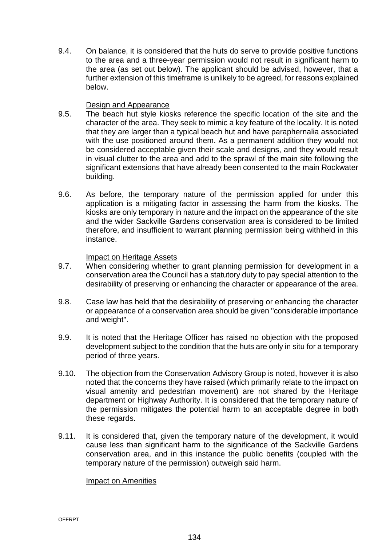9.4. On balance, it is considered that the huts do serve to provide positive functions to the area and a three-year permission would not result in significant harm to the area (as set out below). The applicant should be advised, however, that a further extension of this timeframe is unlikely to be agreed, for reasons explained below.

#### Design and Appearance

- 9.5. The beach hut style kiosks reference the specific location of the site and the character of the area. They seek to mimic a key feature of the locality. It is noted that they are larger than a typical beach hut and have paraphernalia associated with the use positioned around them. As a permanent addition they would not be considered acceptable given their scale and designs, and they would result in visual clutter to the area and add to the sprawl of the main site following the significant extensions that have already been consented to the main Rockwater building.
- 9.6. As before, the temporary nature of the permission applied for under this application is a mitigating factor in assessing the harm from the kiosks. The kiosks are only temporary in nature and the impact on the appearance of the site and the wider Sackville Gardens conservation area is considered to be limited therefore, and insufficient to warrant planning permission being withheld in this instance.

#### Impact on Heritage Assets

- 9.7. When considering whether to grant planning permission for development in a conservation area the Council has a statutory duty to pay special attention to the desirability of preserving or enhancing the character or appearance of the area.
- 9.8. Case law has held that the desirability of preserving or enhancing the character or appearance of a conservation area should be given "considerable importance and weight".
- 9.9. It is noted that the Heritage Officer has raised no objection with the proposed development subject to the condition that the huts are only in situ for a temporary period of three years.
- 9.10. The objection from the Conservation Advisory Group is noted, however it is also noted that the concerns they have raised (which primarily relate to the impact on visual amenity and pedestrian movement) are not shared by the Heritage department or Highway Authority. It is considered that the temporary nature of the permission mitigates the potential harm to an acceptable degree in both these regards.
- 9.11. It is considered that, given the temporary nature of the development, it would cause less than significant harm to the significance of the Sackville Gardens conservation area, and in this instance the public benefits (coupled with the temporary nature of the permission) outweigh said harm.

#### Impact on Amenities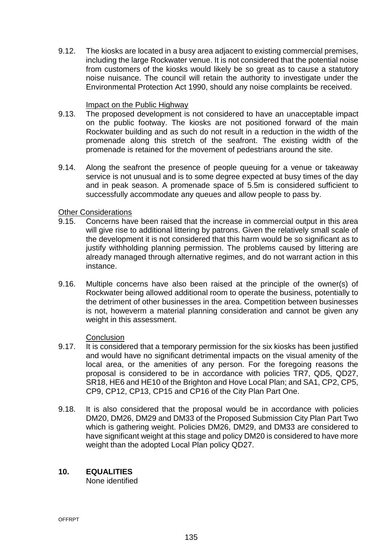9.12. The kiosks are located in a busy area adjacent to existing commercial premises, including the large Rockwater venue. It is not considered that the potential noise from customers of the kiosks would likely be so great as to cause a statutory noise nuisance. The council will retain the authority to investigate under the Environmental Protection Act 1990, should any noise complaints be received.

#### Impact on the Public Highway

- 9.13. The proposed development is not considered to have an unacceptable impact on the public footway. The kiosks are not positioned forward of the main Rockwater building and as such do not result in a reduction in the width of the promenade along this stretch of the seafront. The existing width of the promenade is retained for the movement of pedestrians around the site.
- 9.14. Along the seafront the presence of people queuing for a venue or takeaway service is not unusual and is to some degree expected at busy times of the day and in peak season. A promenade space of 5.5m is considered sufficient to successfully accommodate any queues and allow people to pass by.

#### Other Considerations

- 9.15. Concerns have been raised that the increase in commercial output in this area will give rise to additional littering by patrons. Given the relatively small scale of the development it is not considered that this harm would be so significant as to justify withholding planning permission. The problems caused by littering are already managed through alternative regimes, and do not warrant action in this instance.
- 9.16. Multiple concerns have also been raised at the principle of the owner(s) of Rockwater being allowed additional room to operate the business, potentially to the detriment of other businesses in the area. Competition between businesses is not, howeverm a material planning consideration and cannot be given any weight in this assessment.

### **Conclusion**

- 9.17. It is considered that a temporary permission for the six kiosks has been justified and would have no significant detrimental impacts on the visual amenity of the local area, or the amenities of any person. For the foregoing reasons the proposal is considered to be in accordance with policies TR7, QD5, QD27, SR18, HE6 and HE10 of the Brighton and Hove Local Plan; and SA1, CP2, CP5, CP9, CP12, CP13, CP15 and CP16 of the City Plan Part One.
- 9.18. It is also considered that the proposal would be in accordance with policies DM20, DM26, DM29 and DM33 of the Proposed Submission City Plan Part Two which is gathering weight. Policies DM26, DM29, and DM33 are considered to have significant weight at this stage and policy DM20 is considered to have more weight than the adopted Local Plan policy QD27.

### **10. EQUALITIES**

None identified